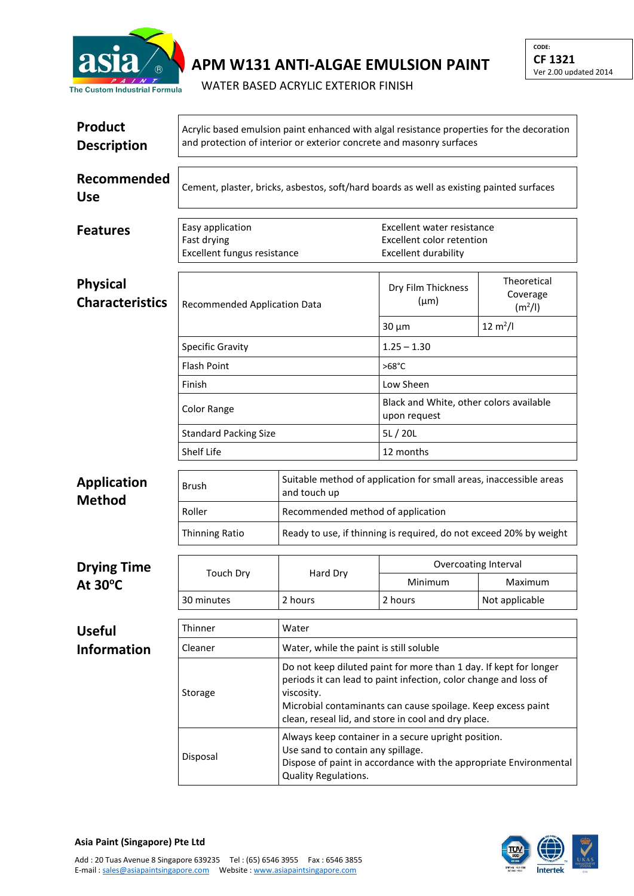

## **APM W131 ANTI-ALGAE EMULSION PAINT**

WATER BASED ACRYLIC EXTERIOR FINISH

| Product<br><b>Description</b>             | Acrylic based emulsion paint enhanced with algal resistance properties for the decoration<br>and protection of interior or exterior concrete and masonry surfaces |                                                                                                                                                                                       |                                                                                                                                                                                                                                                              |                                                |  |  |
|-------------------------------------------|-------------------------------------------------------------------------------------------------------------------------------------------------------------------|---------------------------------------------------------------------------------------------------------------------------------------------------------------------------------------|--------------------------------------------------------------------------------------------------------------------------------------------------------------------------------------------------------------------------------------------------------------|------------------------------------------------|--|--|
| Recommended<br><b>Use</b>                 | Cement, plaster, bricks, asbestos, soft/hard boards as well as existing painted surfaces                                                                          |                                                                                                                                                                                       |                                                                                                                                                                                                                                                              |                                                |  |  |
| <b>Features</b>                           | Easy application<br>Fast drying<br><b>Excellent fungus resistance</b>                                                                                             |                                                                                                                                                                                       | Excellent water resistance<br>Excellent color retention<br><b>Excellent durability</b>                                                                                                                                                                       |                                                |  |  |
| <b>Physical</b><br><b>Characteristics</b> | Recommended Application Data                                                                                                                                      |                                                                                                                                                                                       | Dry Film Thickness<br>$(\mu m)$                                                                                                                                                                                                                              | Theoretical<br>Coverage<br>(m <sup>2</sup> /I) |  |  |
|                                           |                                                                                                                                                                   |                                                                                                                                                                                       | $30 \mu m$                                                                                                                                                                                                                                                   | $12 \text{ m}^2$ /l                            |  |  |
|                                           | <b>Specific Gravity</b>                                                                                                                                           |                                                                                                                                                                                       | $1.25 - 1.30$                                                                                                                                                                                                                                                |                                                |  |  |
|                                           | <b>Flash Point</b>                                                                                                                                                |                                                                                                                                                                                       | $>68^{\circ}$ C                                                                                                                                                                                                                                              |                                                |  |  |
|                                           | Finish                                                                                                                                                            |                                                                                                                                                                                       | Low Sheen                                                                                                                                                                                                                                                    |                                                |  |  |
|                                           | Color Range                                                                                                                                                       |                                                                                                                                                                                       | Black and White, other colors available<br>upon request                                                                                                                                                                                                      |                                                |  |  |
|                                           | <b>Standard Packing Size</b>                                                                                                                                      |                                                                                                                                                                                       |                                                                                                                                                                                                                                                              | 5L/20L                                         |  |  |
|                                           | Shelf Life                                                                                                                                                        |                                                                                                                                                                                       |                                                                                                                                                                                                                                                              | 12 months                                      |  |  |
| <b>Application</b><br><b>Method</b>       | Brush                                                                                                                                                             | Suitable method of application for small areas, inaccessible areas<br>and touch up                                                                                                    |                                                                                                                                                                                                                                                              |                                                |  |  |
|                                           | Roller                                                                                                                                                            | Recommended method of application                                                                                                                                                     |                                                                                                                                                                                                                                                              |                                                |  |  |
|                                           | <b>Thinning Ratio</b>                                                                                                                                             | Ready to use, if thinning is required, do not exceed 20% by weight                                                                                                                    |                                                                                                                                                                                                                                                              |                                                |  |  |
| <b>Drying Time</b>                        |                                                                                                                                                                   |                                                                                                                                                                                       | Overcoating Interval                                                                                                                                                                                                                                         |                                                |  |  |
| At 30°C                                   | <b>Touch Dry</b>                                                                                                                                                  | Hard Dry                                                                                                                                                                              | Minimum                                                                                                                                                                                                                                                      | Maximum                                        |  |  |
|                                           | 30 minutes                                                                                                                                                        | 2 hours                                                                                                                                                                               | 2 hours                                                                                                                                                                                                                                                      | Not applicable                                 |  |  |
|                                           | Thinner                                                                                                                                                           | Water                                                                                                                                                                                 |                                                                                                                                                                                                                                                              |                                                |  |  |
| <b>Useful</b><br><b>Information</b>       | Cleaner                                                                                                                                                           | Water, while the paint is still soluble                                                                                                                                               |                                                                                                                                                                                                                                                              |                                                |  |  |
|                                           | Storage                                                                                                                                                           | viscosity.                                                                                                                                                                            | Do not keep diluted paint for more than 1 day. If kept for longer<br>periods it can lead to paint infection, color change and loss of<br>Microbial contaminants can cause spoilage. Keep excess paint<br>clean, reseal lid, and store in cool and dry place. |                                                |  |  |
|                                           | Disposal                                                                                                                                                          | Always keep container in a secure upright position.<br>Use sand to contain any spillage.<br>Dispose of paint in accordance with the appropriate Environmental<br>Quality Regulations. |                                                                                                                                                                                                                                                              |                                                |  |  |